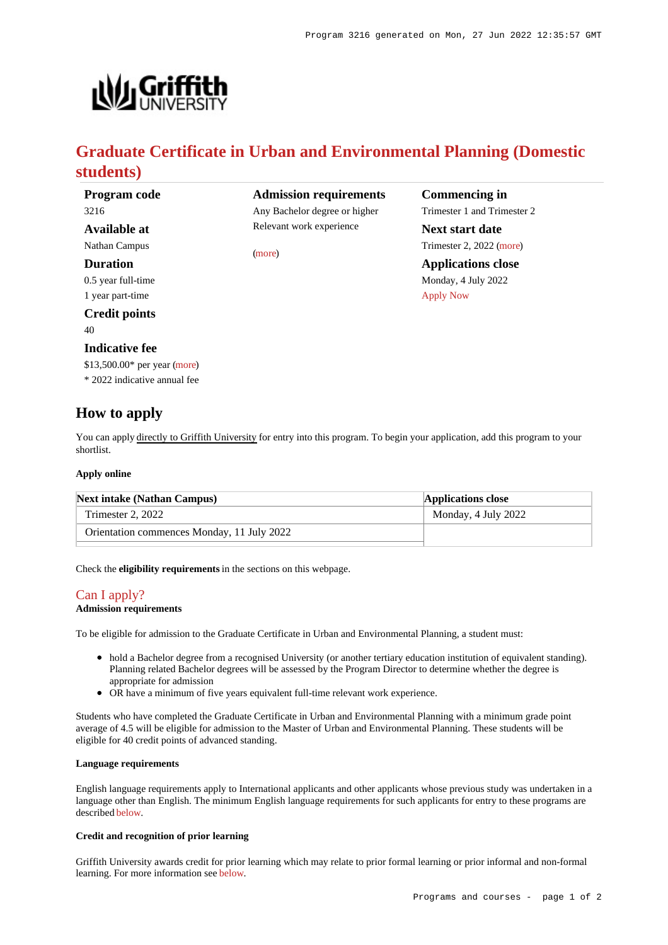

## **Graduate Certificate in Urban and Environmental Planning (Domestic students)**

[\(more](https://www148.griffith.edu.au/programs-courses/Program/3216/HowToApply/Domestic#can-i-apply))

**Program code** 3216

## **Available at**

Nathan Campus

#### **Duration**

0.5 year full-time 1 year part-time

#### **Credit points**

40

#### **Indicative fee**

\$13,500.00\* per year [\(more](https://www148.griffith.edu.au/programs-courses/Program/3216/Overview/Domestic#fees))

\* 2022 indicative annual fee

## **How to apply**

You can apply directly to Griffith University for entry into this program. To begin your application, add this program to your shortlist.

#### **Apply online**

| <b>Next intake (Nathan Campus)</b>         | <b>Applications close</b> |
|--------------------------------------------|---------------------------|
| Trimester 2, 2022                          | Monday, 4 July 2022       |
| Orientation commences Monday, 11 July 2022 |                           |

Check the **eligibility requirements** in the sections on this webpage.

## [Can I apply?](https://www148.griffith.edu.au/programs-courses/Program/3216/HowToApply/Domestic#can-i-apply)

#### **Admission requirements**

To be eligible for admission to the Graduate Certificate in Urban and Environmental Planning, a student must:

- hold a Bachelor degree from a recognised University (or another tertiary education institution of equivalent standing). Planning related Bachelor degrees will be assessed by the Program Director to determine whether the degree is appropriate for admission
- OR have a minimum of five years equivalent full-time relevant work experience.

Students who have completed the Graduate Certificate in Urban and Environmental Planning with a minimum grade point average of 4.5 will be eligible for admission to the Master of Urban and Environmental Planning. These students will be eligible for 40 credit points of advanced standing.

#### **Language requirements**

English language requirements apply to International applicants and other applicants whose previous study was undertaken in a language other than English. The minimum English language requirements for such applicants for entry to these programs are described [below](https://www148.griffith.edu.au/programs-courses/Program/3216/HowToApply/Domestic#language).

#### **Credit and recognition of prior learning**

Griffith University awards credit for prior learning which may relate to prior formal learning or prior informal and non-formal learning. For more information see [below](https://www148.griffith.edu.au/programs-courses/Program/3216/HowToApply/Domestic#credit).

**Admission requirements** Any Bachelor degree or higher Relevant work experience **Commencing in** Trimester 1 and Trimester 2 **Next start date**

Trimester 2, 2022 [\(more](https://www148.griffith.edu.au/programs-courses/Program/3216/HowToApply/Domestic)) **Applications close** Monday, 4 July 2022

[Apply Now](https://www148.griffith.edu.au/programs-courses/Program/3216/HowToApply/Domestic#)